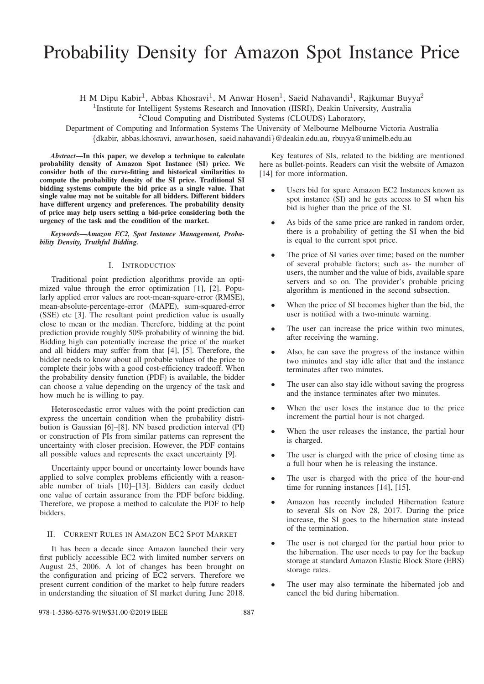# Probability Density for Amazon Spot Instance Price

H M Dipu Kabir<sup>1</sup>, Abbas Khosravi<sup>1</sup>, M Anwar Hosen<sup>1</sup>, Saeid Nahavandi<sup>1</sup>, Rajkumar Buyya<sup>2</sup>

<sup>1</sup>Institute for Intelligent Systems Research and Innovation (IISRI), Deakin University, Australia

<sup>2</sup>Cloud Computing and Distributed Systems (CLOUDS) Laboratory,

Department of Computing and Information Systems The University of Melbourne Melbourne Victoria Australia {dkabir, abbas.khosravi, anwar.hosen, saeid.nahavandi}@deakin.edu.au, rbuyya@unimelb.edu.au

*Abstract*—In this paper, we develop a technique to calculate probability density of Amazon Spot Instance (SI) price. We consider both of the curve-fitting and historical similarities to compute the probability density of the SI price. Traditional SI bidding systems compute the bid price as a single value. That single value may not be suitable for all bidders. Different bidders have different urgency and preferences. The probability density of price may help users setting a bid-price considering both the urgency of the task and the condition of the market.

*Keywords*—*Amazon EC2, Spot Instance Management, Probability Density, Truthful Bidding.*

## I. INTRODUCTION

Traditional point prediction algorithms provide an optimized value through the error optimization [1], [2]. Popularly applied error values are root-mean-square-error (RMSE), mean-absolute-percentage-error (MAPE), sum-squared-error (SSE) etc [3]. The resultant point prediction value is usually close to mean or the median. Therefore, bidding at the point prediction provide roughly 50% probability of winning the bid. Bidding high can potentially increase the price of the market and all bidders may suffer from that [4], [5]. Therefore, the bidder needs to know about all probable values of the price to complete their jobs with a good cost-efficiency tradeoff. When the probability density function (PDF) is available, the bidder can choose a value depending on the urgency of the task and how much he is willing to pay.

Heteroscedastic error values with the point prediction can express the uncertain condition when the probability distribution is Gaussian [6]–[8]. NN based prediction interval (PI) or construction of PIs from similar patterns can represent the uncertainty with closer precision. However, the PDF contains all possible values and represents the exact uncertainty [9].

Uncertainty upper bound or uncertainty lower bounds have applied to solve complex problems efficiently with a reasonable number of trials [10]–[13]. Bidders can easily deduct one value of certain assurance from the PDF before bidding. Therefore, we propose a method to calculate the PDF to help bidders.

#### II. CURRENT RULES IN AMAZON EC2 SPOT MARKET

It has been a decade since Amazon launched their very first publicly accessible EC2 with limited number servers on August 25, 2006. A lot of changes has been brought on the configuration and pricing of EC2 servers. Therefore we present current condition of the market to help future readers in understanding the situation of SI market during June 2018.

#### 978-1-5386-6376-9/19/\$31.00 ©2019 IEEE 887

Key features of SIs, related to the bidding are mentioned here as bullet-points. Readers can visit the website of Amazon [14] for more information.

- Users bid for spare Amazon EC2 Instances known as spot instance (SI) and he gets access to SI when his bid is higher than the price of the SI.
- As bids of the same price are ranked in random order, there is a probability of getting the SI when the bid is equal to the current spot price.
- The price of SI varies over time; based on the number of several probable factors; such as- the number of users, the number and the value of bids, available spare servers and so on. The provider's probable pricing algorithm is mentioned in the second subsection.
- When the price of SI becomes higher than the bid, the user is notified with a two-minute warning.
- The user can increase the price within two minutes, after receiving the warning.
- Also, he can save the progress of the instance within two minutes and stay idle after that and the instance terminates after two minutes.
- The user can also stay idle without saving the progress and the instance terminates after two minutes.
- When the user loses the instance due to the price increment the partial hour is not charged.
- When the user releases the instance, the partial hour is charged.
- The user is charged with the price of closing time as a full hour when he is releasing the instance.
- The user is charged with the price of the hour-end time for running instances [14], [15].
- Amazon has recently included Hibernation feature to several SIs on Nov 28, 2017. During the price increase, the SI goes to the hibernation state instead of the termination.
- The user is not charged for the partial hour prior to the hibernation. The user needs to pay for the backup storage at standard Amazon Elastic Block Store (EBS) storage rates.
- The user may also terminate the hibernated job and cancel the bid during hibernation.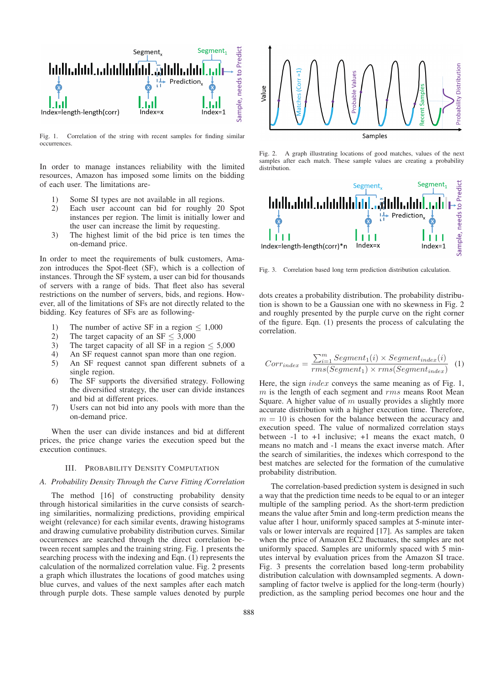

Fig. 1. Correlation of the string with recent samples for finding similar occurrences.

In order to manage instances reliability with the limited resources, Amazon has imposed some limits on the bidding of each user. The limitations are-

- 1) Some SI types are not available in all regions.
- 2) Each user account can bid for roughly 20 Spot instances per region. The limit is initially lower and the user can increase the limit by requesting.
- 3) The highest limit of the bid price is ten times the on-demand price.

In order to meet the requirements of bulk customers, Amazon introduces the Spot-fleet (SF), which is a collection of instances. Through the SF system, a user can bid for thousands of servers with a range of bids. That fleet also has several restrictions on the number of servers, bids, and regions. However, all of the limitations of SFs are not directly related to the bidding. Key features of SFs are as following-

- 1) The number of active SF in a region  $\leq 1,000$ <br>2) The target capacity of an SF  $\leq 3,000$
- 2) The target capacity of an SF  $\leq$  3,000<br>3) The target capacity of all SF in a regi
- 3) The target capacity of all SF in a region  $\leq$  5,000<br>4) An SF request cannot span more than one region.
- An SF request cannot span more than one region.
- 5) An SF request cannot span different subnets of a single region.
- 6) The SF supports the diversified strategy. Following the diversified strategy, the user can divide instances and bid at different prices.
- 7) Users can not bid into any pools with more than the on-demand price.

When the user can divide instances and bid at different prices, the price change varies the execution speed but the execution continues.

# III. PROBABILITY DENSITY COMPUTATION

#### *A. Probability Density Through the Curve Fitting /Correlation*

The method [16] of constructing probability density through historical similarities in the curve consists of searching similarities, normalizing predictions, providing empirical weight (relevance) for each similar events, drawing histograms and drawing cumulative probability distribution curves. Similar occurrences are searched through the direct correlation between recent samples and the training string. Fig. 1 presents the searching process with the indexing and Eqn. (1) represents the calculation of the normalized correlation value. Fig. 2 presents a graph which illustrates the locations of good matches using blue curves, and values of the next samples after each match through purple dots. These sample values denoted by purple



Fig. 2. A graph illustrating locations of good matches, values of the next samples after each match. These sample values are creating a probability distribution.



Fig. 3. Correlation based long term prediction distribution calculation.

dots creates a probability distribution. The probability distribution is shown to be a Gaussian one with no skewness in Fig. 2 and roughly presented by the purple curve on the right corner of the figure. Eqn. (1) presents the process of calculating the correlation.

$$
Corr_{index} = \frac{\sum_{i=1}^{m} Segment_1(i) \times Segment_{index}(i)}{rms(Segment_1) \times rms(Segment_{index})}
$$
 (1)

Here, the sign index conveys the same meaning as of Fig. 1,  $m$  is the length of each segment and  $rms$  means Root Mean Square. A higher value of  $m$  usually provides a slightly more accurate distribution with a higher execution time. Therefore,  $m = 10$  is chosen for the balance between the accuracy and execution speed. The value of normalized correlation stays between  $-1$  to  $+1$  inclusive;  $+1$  means the exact match, 0 means no match and -1 means the exact inverse match. After the search of similarities, the indexes which correspond to the best matches are selected for the formation of the cumulative probability distribution.

The correlation-based prediction system is designed in such a way that the prediction time needs to be equal to or an integer multiple of the sampling period. As the short-term prediction means the value after 5min and long-term prediction means the value after 1 hour, uniformly spaced samples at 5-minute intervals or lower intervals are required [17]. As samples are taken when the price of Amazon EC2 fluctuates, the samples are not uniformly spaced. Samples are uniformly spaced with 5 minutes interval by evaluation prices from the Amazon SI trace. Fig. 3 presents the correlation based long-term probability distribution calculation with downsampled segments. A downsampling of factor twelve is applied for the long-term (hourly) prediction, as the sampling period becomes one hour and the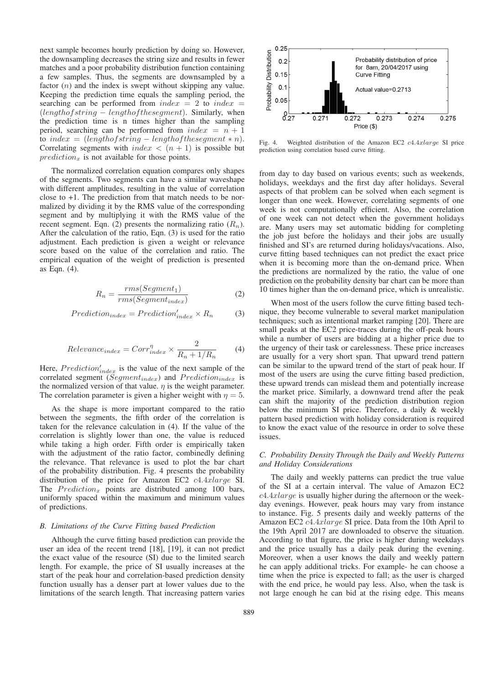next sample becomes hourly prediction by doing so. However, the downsampling decreases the string size and results in fewer matches and a poor probability distribution function containing a few samples. Thus, the segments are downsampled by a factor  $(n)$  and the index is swept without skipping any value. Keeping the prediction time equals the sampling period, the searching can be performed from  $index = 2$  to  $index =$  $(length of string - length of the segment).$  Similarly, when the prediction time is n times higher than the sampling period, searching can be performed from  $index = n + 1$ to index =  $(lenathof string - length of the segment * n).$ Correlating segments with  $index < (n + 1)$  is possible but  $prediction<sub>x</sub>$  is not available for those points.

The normalized correlation equation compares only shapes of the segments. Two segments can have a similar waveshape with different amplitudes, resulting in the value of correlation close to +1. The prediction from that match needs to be normalized by dividing it by the RMS value of the corresponding segment and by multiplying it with the RMS value of the recent segment. Eqn. (2) presents the normalizing ratio  $(R_n)$ . After the calculation of the ratio, Eqn. (3) is used for the ratio adjustment. Each prediction is given a weight or relevance score based on the value of the correlation and ratio. The empirical equation of the weight of prediction is presented as Eqn. (4).

$$
R_n = \frac{rms(Segment_1)}{rms(Segment_{index})}
$$
 (2)

$$
Prediction_{index} = Prediction'_{index} \times R_n \tag{3}
$$

$$
Relevance_{index} = Corr_{index}^{\eta} \times \frac{2}{R_n + 1/R_n}
$$
 (4)

Here,  $Prediction'_{index}$  is the value of the next sample of the correlated segment ( $Segment_{index}$ ) and  $Prediction_{index}$  is the normalized version of that value.  $\eta$  is the weight parameter. The correlation parameter is given a higher weight with  $\eta = 5$ .

As the shape is more important compared to the ratio between the segments, the fifth order of the correlation is taken for the relevance calculation in (4). If the value of the correlation is slightly lower than one, the value is reduced while taking a high order. Fifth order is empirically taken with the adjustment of the ratio factor, combinedly defining the relevance. That relevance is used to plot the bar chart of the probability distribution. Fig. 4 presents the probability distribution of the price for Amazon EC2 c4.4xlarge SI. The  $Prediction_x$  points are distributed among 100 bars, uniformly spaced within the maximum and minimum values of predictions.

#### *B. Limitations of the Curve Fitting based Prediction*

Although the curve fitting based prediction can provide the user an idea of the recent trend [18], [19], it can not predict the exact value of the resource (SI) due to the limited search length. For example, the price of SI usually increases at the start of the peak hour and correlation-based prediction density function usually has a denser part at lower values due to the limitations of the search length. That increasing pattern varies



Fig. 4. Weighted distribution of the Amazon EC2 c4.4xlarge SI price prediction using correlation based curve fitting.

from day to day based on various events; such as weekends, holidays, weekdays and the first day after holidays. Several aspects of that problem can be solved when each segment is longer than one week. However, correlating segments of one week is not computationally efficient. Also, the correlation of one week can not detect when the government holidays are. Many users may set automatic bidding for completing the job just before the holidays and their jobs are usually finished and SI's are returned during holidays/vacations. Also, curve fitting based techniques can not predict the exact price when it is becoming more than the on-demand price. When the predictions are normalized by the ratio, the value of one prediction on the probability density bar chart can be more than 10 times higher than the on-demand price, which is unrealistic.

When most of the users follow the curve fitting based technique, they become vulnerable to several market manipulation techniques; such as intentional market ramping [20]. There are small peaks at the EC2 price-traces during the off-peak hours while a number of users are bidding at a higher price due to the urgency of their task or carelessness. These price increases are usually for a very short span. That upward trend pattern can be similar to the upward trend of the start of peak hour. If most of the users are using the curve fitting based prediction, these upward trends can mislead them and potentially increase the market price. Similarly, a downward trend after the peak can shift the majority of the prediction distribution region below the minimum SI price. Therefore, a daily & weekly pattern based prediction with holiday consideration is required to know the exact value of the resource in order to solve these issues.

## *C. Probability Density Through the Daily and Weekly Patterns and Holiday Considerations*

The daily and weekly patterns can predict the true value of the SI at a certain interval. The value of Amazon EC2  $c4.4x large$  is usually higher during the afternoon or the weekday evenings. However, peak hours may vary from instance to instance. Fig. 5 presents daily and weekly patterns of the Amazon EC2 c4.4xlarge SI price. Data from the 10th April to the 19th April 2017 are downloaded to observe the situation. According to that figure, the price is higher during weekdays and the price usually has a daily peak during the evening. Moreover, when a user knows the daily and weekly pattern he can apply additional tricks. For example- he can choose a time when the price is expected to fall; as the user is charged with the end price, he would pay less. Also, when the task is not large enough he can bid at the rising edge. This means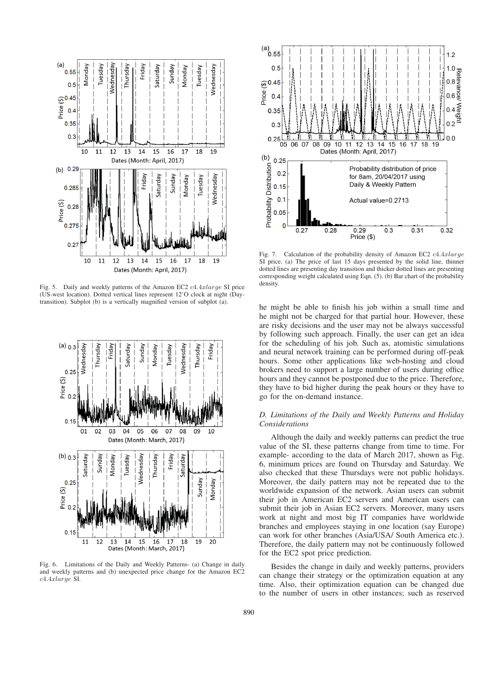

Fig. 5. Daily and weekly patterns of the Amazon EC2 c4.4xlarge SI price (US-west location). Dotted vertical lines represent 12'O clock at night (Daytransition). Subplot (b) is a vertically magnified version of subplot (a).



Fig. 6. Limitations of the Daily and Weekly Patterns- (a) Change in daily and weekly patterns and (b) unexpected price change for the Amazon EC2 c4.4xlarge SI.



Fig. 7. Calculation of the probability density of Amazon EC2 c4.4xlarge SI price. (a) The price of last 15 days presented by the solid line, thinner dotted lines are presenting day transition and thicker dotted lines are presenting corresponding weight calculated using Eqn. (5). (b) Bar chart of the probability density.

he might be able to finish his job within a small time and he might not be charged for that partial hour. However, these are risky decisions and the user may not be always successful by following such approach. Finally, the user can get an idea for the scheduling of his job. Such as, atomistic simulations and neural network training can be performed during off-peak hours. Some other applications like web-hosting and cloud brokers need to support a large number of users during office hours and they cannot be postponed due to the price. Therefore, they have to bid higher during the peak hours or they have to go for the on-demand instance.

# *D. Limitations of the Daily and Weekly Patterns and Holiday Considerations*

Although the daily and weekly patterns can predict the true value of the SI, these patterns change from time to time. For example- according to the data of March 2017, shown as Fig. 6, minimum prices are found on Thursday and Saturday. We also checked that these Thursdays were not public holidays. Moreover, the daily pattern may not be repeated due to the worldwide expansion of the network. Asian users can submit their job in American EC2 servers and American users can submit their job in Asian EC2 servers. Moreover, many users work at night and most big IT companies have worldwide branches and employees staying in one location (say Europe) can work for other branches (Asia/USA/ South America etc.). Therefore, the daily pattern may not be continuously followed for the EC2 spot price prediction.

Besides the change in daily and weekly patterns, providers can change their strategy or the optimization equation at any time. Also, their optimization equation can be changed due to the number of users in other instances; such as reserved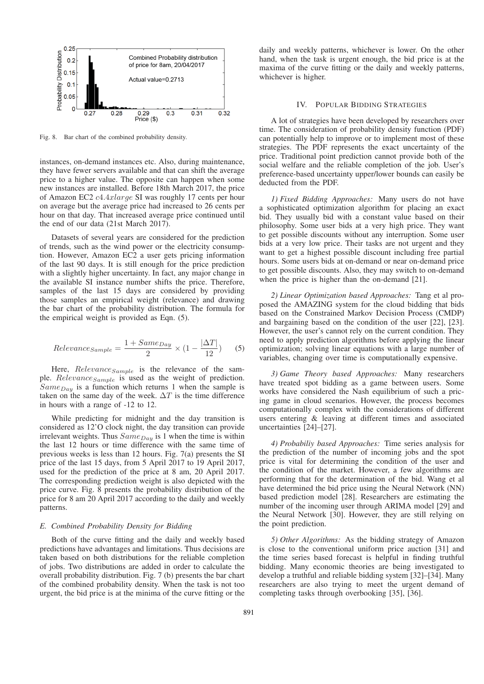

Fig. 8. Bar chart of the combined probability density.

instances, on-demand instances etc. Also, during maintenance, they have fewer servers available and that can shift the average price to a higher value. The opposite can happen when some new instances are installed. Before 18th March 2017, the price of Amazon EC2 c4.4xlarge SI was roughly 17 cents per hour on average but the average price had increased to 26 cents per hour on that day. That increased average price continued until the end of our data (21st March 2017).

Datasets of several years are considered for the prediction of trends, such as the wind power or the electricity consumption. However, Amazon EC2 a user gets pricing information of the last 90 days. It is still enough for the price prediction with a slightly higher uncertainty. In fact, any major change in the available SI instance number shifts the price. Therefore, samples of the last 15 days are considered by providing those samples an empirical weight (relevance) and drawing the bar chart of the probability distribution. The formula for the empirical weight is provided as Eqn. (5).

$$
Relevance_{Sample} = \frac{1 + Same_{Day}}{2} \times (1 - \frac{|\Delta T|}{12})
$$
 (5)

Here,  $Relevance_{Sample}$  is the relevance of the sample.  $Relevance_{Sample}$  is used as the weight of prediction.  $Same_{Day}$  is a function which returns 1 when the sample is taken on the same day of the week.  $\Delta T$  is the time difference in hours with a range of -12 to 12.

While predicting for midnight and the day transition is considered as 12'O clock night, the day transition can provide irrelevant weights. Thus  $Same_{Day}$  is 1 when the time is within the last 12 hours or time difference with the same time of previous weeks is less than 12 hours. Fig. 7(a) presents the SI price of the last 15 days, from 5 April 2017 to 19 April 2017, used for the prediction of the price at 8 am, 20 April 2017. The corresponding prediction weight is also depicted with the price curve. Fig. 8 presents the probability distribution of the price for 8 am 20 April 2017 according to the daily and weekly patterns.

## *E. Combined Probability Density for Bidding*

Both of the curve fitting and the daily and weekly based predictions have advantages and limitations. Thus decisions are taken based on both distributions for the reliable completion of jobs. Two distributions are added in order to calculate the overall probability distribution. Fig. 7 (b) presents the bar chart of the combined probability density. When the task is not too urgent, the bid price is at the minima of the curve fitting or the

daily and weekly patterns, whichever is lower. On the other hand, when the task is urgent enough, the bid price is at the maxima of the curve fitting or the daily and weekly patterns, whichever is higher.

## IV. POPULAR BIDDING STRATEGIES

A lot of strategies have been developed by researchers over time. The consideration of probability density function (PDF) can potentially help to improve or to implement most of these strategies. The PDF represents the exact uncertainty of the price. Traditional point prediction cannot provide both of the social welfare and the reliable completion of the job. User's preference-based uncertainty upper/lower bounds can easily be deducted from the PDF.

*1) Fixed Bidding Approaches:* Many users do not have a sophisticated optimization algorithm for placing an exact bid. They usually bid with a constant value based on their philosophy. Some user bids at a very high price. They want to get possible discounts without any interruption. Some user bids at a very low price. Their tasks are not urgent and they want to get a highest possible discount including free partial hours. Some users bids at on-demand or near on-demand price to get possible discounts. Also, they may switch to on-demand when the price is higher than the on-demand [21].

*2) Linear Optimization based Approaches:* Tang et al proposed the AMAZING system for the cloud bidding that bids based on the Constrained Markov Decision Process (CMDP) and bargaining based on the condition of the user [22], [23]. However, the user's cannot rely on the current condition. They need to apply prediction algorithms before applying the linear optimization; solving linear equations with a large number of variables, changing over time is computationally expensive.

*3) Game Theory based Approaches:* Many researchers have treated spot bidding as a game between users. Some works have considered the Nash equilibrium of such a pricing game in cloud scenarios. However, the process becomes computationally complex with the considerations of different users entering & leaving at different times and associated uncertainties [24]–[27].

*4) Probabiliy based Approaches:* Time series analysis for the prediction of the number of incoming jobs and the spot price is vital for determining the condition of the user and the condition of the market. However, a few algorithms are performing that for the determination of the bid. Wang et al have determined the bid price using the Neural Network (NN) based prediction model [28]. Researchers are estimating the number of the incoming user through ARIMA model [29] and the Neural Network [30]. However, they are still relying on the point prediction.

*5) Other Algorithms:* As the bidding strategy of Amazon is close to the conventional uniform price auction [31] and the time series based forecast is helpful in finding truthful bidding. Many economic theories are being investigated to develop a truthful and reliable bidding system [32]–[34]. Many researchers are also trying to meet the urgent demand of completing tasks through overbooking [35], [36].